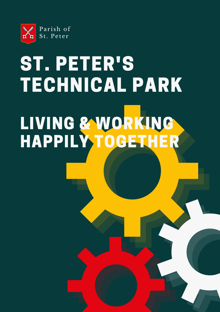

# ST. PETER'S TECHNICAL PARK LIVING & WORKING HAPPILY TOGETHER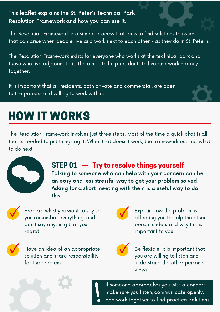#### This leaflet explains the St. Peter's Technical Park Resolution Framework and how you can use it.

The Resolution Framework is a simple process that aims to find solutions to issues that can arise when people live and work next to each other - as they do in St. Peter's.

The Resolution Framework exists for everyone who works at the technical park and those who live adjacent to it. The aim is to help residents to live and work happily together.

It is important that all residents, both private and commercial, are open to the process and willing to work with it.

# HOW IT WORKS

The Resolution Framework involves just three steps. Most of the time a quick chat is all that is needed to put things right. When that doesn't work, the framework outlines what to do next.



### STEP 01 – Try to resolve things yourself

Talking to someone who can help with your concern can be an easy and less stressful way to get your problem solved. Asking for a short meeting with them is a useful way to do this.



Prepare what you want to say so you remember everything, and don't say anything that you regret.



Have an idea of an appropriate solution and share responsibility for the problem.



Explain how the problem is affecting you to help the other person understand why this is important to you.



Be flexible. It is important that you are willing to listen and understand the other person's views.

If someone approaches you with a concern make sure you listen, communicate openly, and work together to find practical solutions.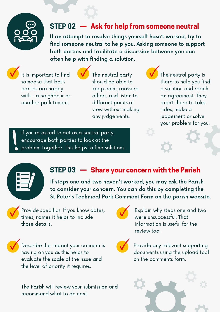

### STEP 02 — Ask for help from someone neutral

If an attempt to resolve things yourself hasn't worked, try to find someone neutral to help you. Asking someone to support both parties and facilitate a discussion between you can often help with finding a solution.

It is important to find someone that both parties are happy with - a neighbour or another park tenant.

The neutral party should be able to keep calm, reassure others, and listen to different points of view without making any judgements.

The neutral party is there to help you find a solution and reach an agreement. They aren't there to take sides, make a judgement or solve your problem for you.

If you're asked to act as a neutral party, encourage both parties to look at the problem together. This helps to find solutions.

### STEP 03 — Share your concern with the Parish

If steps one and two haven't worked, you may ask the Parish to consider your concern. You can do this by completing the St Peter's Technical Park Comment Form on the parish website.

Provide specifics. If you know dates, times, names it helps to include those details.

Describe the impact your concern is having on you as this helps to evaluate the scale of the issue and the level of priority it requires.

The Parish will review your submission and recommend what to do next.



Explain why steps one and two were unsuccessful. That information is useful for the review too.



Provide any relevant supporting documents using the upload tool on the comments form.